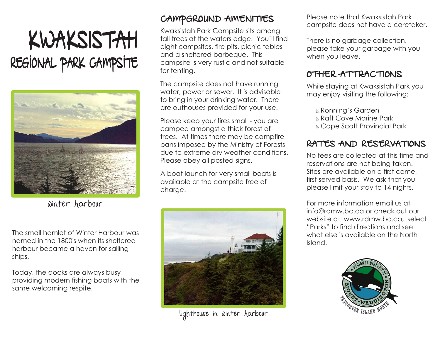## KWAKSISTAH REGIONAL PARK CAMPSITE



Winter Harbour

The small hamlet of Winter Harbour was named in the 1800's when its sheltered harbour became a haven for sailing ships.

Today, the docks are always busy providing modern fishing boats with the same welcoming respite.

## CAMPGROUND AMENITIES

Kwaksistah Park Campsite sits among tall trees at the waters edge. You'll find eight campsites, fire pits, picnic tables and a sheltered barbeque. This campsite is very rustic and not suitable for tenting.

The campsite does not have running water, power or sewer. It is advisable to bring in your drinking water. There are outhouses provided for your use.

Please keep your fires small - you are camped amongst a thick forest of trees. At times there may be campfire bans imposed by the Ministry of Forests due to extreme dry weather conditions. Please obey all posted signs.

A boat launch for very small boats is available at the campsite free of charge.



lighthouse in winter harbour

Please note that Kwaksistah Park campsite does not have a caretaker.

There is no garbage collection, please take your garbage with you when you leave.

## OTHER ATTRACTIONS

While staying at Kwaksistah Park you may enjoy visiting the following:

Ronning's Garden

- **Kaft Cove Marine Park**
- Cape Scott Provincial Park

## RATES AND RESERVATIONS

No fees are collected at this time and reservations are not being taken. Sites are available on a first come, first served basis. We ask that you please limit your stay to 14 nights.

For more information email us at info@rdmw.bc.ca or check out our website at: www.rdmw.bc.ca, select "Parks" to find directions and see what else is available on the North Island.